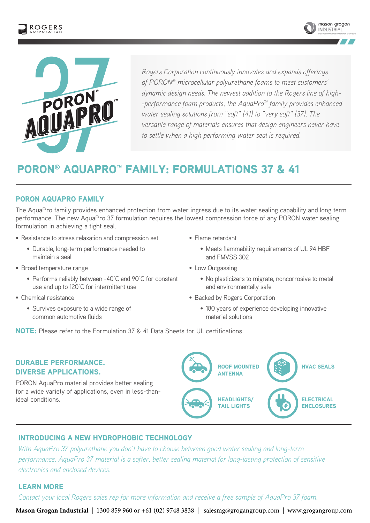





*Rogers Corporation continuously innovates and expands offerings of PORON® microcellular polyurethane foams to meet customers' dynamic design needs. The newest addition to the Rogers line of high- -performance foam products, the AquaPro™ family provides enhanced water sealing solutions from "soft" (41) to "very soft" (37). The versatile range of materials ensures that design engineers never have to settle when a high performing water seal is required.*

## PORON® AQUAPRO™ FAMILY: FORMULATIONS 37 & 41

#### PORON AQUAPRO FAMILY

The AquaPro family provides enhanced protection from water ingress due to its water sealing capability and long term performance. The new AquaPro 37 formulation requires the lowest compression force of any PORON water sealing formulation in achieving a tight seal.

- Resistance to stress relaxation and compression set
	- Durable, long-term performance needed to maintain a seal
- Broad temperature range
	- Performs reliably between -40°C and 90°C for constant use and up to 120°C for intermittent use
- Chemical resistance
	- Survives exposure to a wide range of common automotive fluids
- Flame retardant
	- Meets flammability requirements of UL 94 HBF and FMVSS 302
- Low Outgassing
	- No plasticizers to migrate, noncorrosive to metal and environmentally safe
- Backed by Rogers Corporation
	- 180 years of experience developing innovative material solutions

NOTE: Please refer to the Formulation 37 & 41 Data Sheets for UL certifications.

#### DURABLE PERFORMANCE. DIVERSE APPLICATIONS.

PORON AquaPro material provides better sealing for a wide variety of applications, even in less-thanideal conditions.



#### INTRODUCING A NEW HYDROPHOBIC TECHNOLOGY

*With AquaPro 37 polyurethane you don't have to choose between good water sealing and long-term performance. AquaPro 37 material is a softer, better sealing material for long-lasting protection of sensitive electronics and enclosed devices.*

#### LEARN MORE

*Contact your local Rogers sales rep for more information and receive a free sample of AquaPro 37 foam.*

**Mason Grogan Industrial** | 1300 859 960 or +61 (02) 9748 3838 | salesmg@grogangroup.com | www.grogangroup.com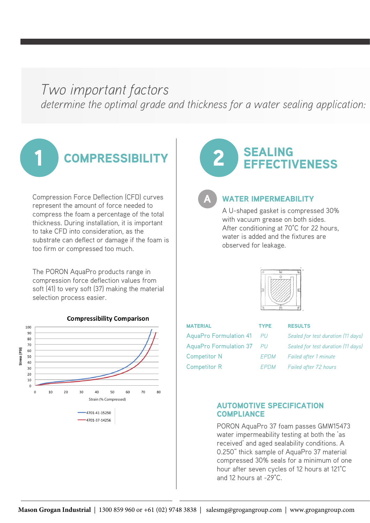# *Two important factors* determine the optimal grade and thickness for a water sealing application:



Compression Force Deflection (CFD) curves represent the amount of force needed to compress the foam a percentage of the total thickness. During installation, it is important to take CFD into consideration, as the substrate can deflect or damage if the foam is too firm or compressed too much.

The PORON AquaPro products range in compression force deflection values from soft (41) to very soft (37) making the material selection process easier.



# **EFFECTIVENESS**

A

#### WATER IMPERMEABILITY

A U-shaped gasket is compressed 30% with vacuum grease on both sides. After conditioning at 70°C for 22 hours, water is added and the fixtures are observed for leakage.



| <b>MATERIAL</b>           | <b>TYPE</b> | <b>RESULTS</b>     |
|---------------------------|-------------|--------------------|
| AquaPro Formulation 41 PU |             | Sealed for         |
| AquaPro Formulation 37 PU |             | Sealed for         |
| <b>Competitor N</b>       | <b>EPDM</b> | <b>Failed afte</b> |
| <b>Competitor R</b>       | <i>FPDM</i> | <b>Failed</b> afte |

AquaPro Formulation 41 *PU Sealed for test duration (11 days)* PU Sealed for test duration (11 days) **EPDM** Failed after 1 minute FPDM Failed after 72 hours

#### AUTOMOTIVE SPECIFICATION **COMPLIANCE**

PORON AquaPro 37 foam passes GMW15473 water impermeability testing at both the 'as received' and aged sealability conditions. A 0.250" thick sample of AquaPro 37 material compressed 30% seals for a minimum of one hour after seven cycles of 12 hours at 121°C and 12 hours at -29°C.